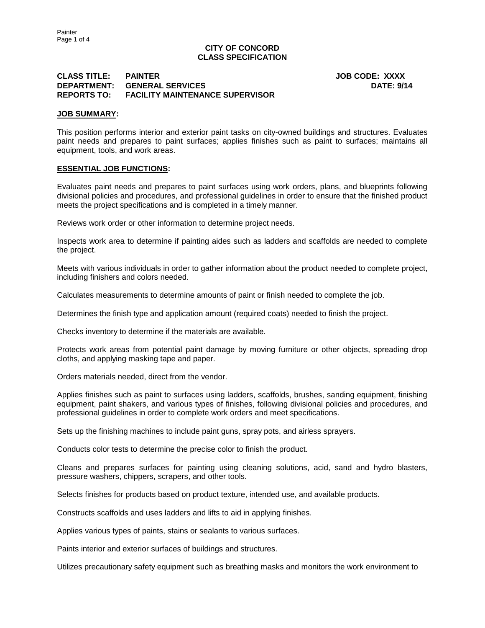# **CITY OF CONCORD CLASS SPECIFICATION**

# **CLASS TITLE: PAINTER JOB CODE: XXXX DEPARTMENT:** GENERAL SERVICES **DATE: 9/14 REPORTS TO: FACILITY MAINTENANCE SUPERVISOR**

### **JOB SUMMARY:**

This position performs interior and exterior paint tasks on city-owned buildings and structures. Evaluates paint needs and prepares to paint surfaces; applies finishes such as paint to surfaces; maintains all equipment, tools, and work areas.

### **ESSENTIAL JOB FUNCTIONS:**

Evaluates paint needs and prepares to paint surfaces using work orders, plans, and blueprints following divisional policies and procedures, and professional guidelines in order to ensure that the finished product meets the project specifications and is completed in a timely manner.

Reviews work order or other information to determine project needs.

Inspects work area to determine if painting aides such as ladders and scaffolds are needed to complete the project.

Meets with various individuals in order to gather information about the product needed to complete project, including finishers and colors needed.

Calculates measurements to determine amounts of paint or finish needed to complete the job.

Determines the finish type and application amount (required coats) needed to finish the project.

Checks inventory to determine if the materials are available.

Protects work areas from potential paint damage by moving furniture or other objects, spreading drop cloths, and applying masking tape and paper.

Orders materials needed, direct from the vendor.

Applies finishes such as paint to surfaces using ladders, scaffolds, brushes, sanding equipment, finishing equipment, paint shakers, and various types of finishes, following divisional policies and procedures, and professional guidelines in order to complete work orders and meet specifications.

Sets up the finishing machines to include paint guns, spray pots, and airless sprayers.

Conducts color tests to determine the precise color to finish the product.

Cleans and prepares surfaces for painting using cleaning solutions, acid, sand and hydro blasters, pressure washers, chippers, scrapers, and other tools.

Selects finishes for products based on product texture, intended use, and available products.

Constructs scaffolds and uses ladders and lifts to aid in applying finishes.

Applies various types of paints, stains or sealants to various surfaces.

Paints interior and exterior surfaces of buildings and structures.

Utilizes precautionary safety equipment such as breathing masks and monitors the work environment to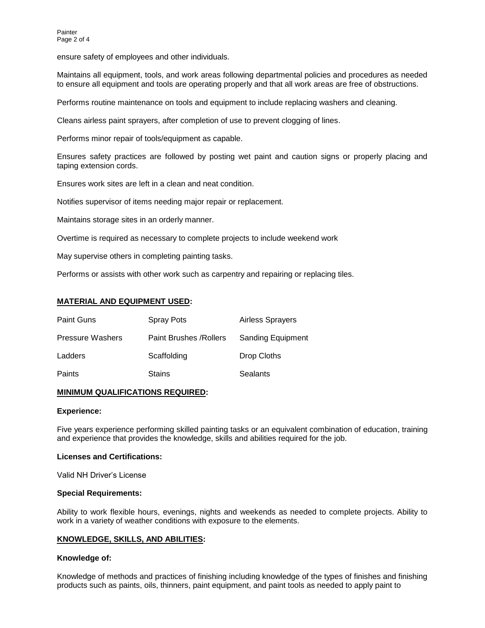ensure safety of employees and other individuals.

Maintains all equipment, tools, and work areas following departmental policies and procedures as needed to ensure all equipment and tools are operating properly and that all work areas are free of obstructions.

Performs routine maintenance on tools and equipment to include replacing washers and cleaning.

Cleans airless paint sprayers, after completion of use to prevent clogging of lines.

Performs minor repair of tools/equipment as capable.

Ensures safety practices are followed by posting wet paint and caution signs or properly placing and taping extension cords.

Ensures work sites are left in a clean and neat condition.

Notifies supervisor of items needing major repair or replacement.

Maintains storage sites in an orderly manner.

Overtime is required as necessary to complete projects to include weekend work

May supervise others in completing painting tasks.

Performs or assists with other work such as carpentry and repairing or replacing tiles.

### **MATERIAL AND EQUIPMENT USED:**

| <b>Paint Guns</b>       | <b>Spray Pots</b>       | <b>Airless Sprayers</b>  |
|-------------------------|-------------------------|--------------------------|
| <b>Pressure Washers</b> | Paint Brushes / Rollers | <b>Sanding Equipment</b> |
| Ladders                 | Scaffolding             | Drop Cloths              |
| Paints                  | <b>Stains</b>           | Sealants                 |

# **MINIMUM QUALIFICATIONS REQUIRED:**

#### **Experience:**

Five years experience performing skilled painting tasks or an equivalent combination of education, training and experience that provides the knowledge, skills and abilities required for the job.

#### **Licenses and Certifications:**

Valid NH Driver's License

#### **Special Requirements:**

Ability to work flexible hours, evenings, nights and weekends as needed to complete projects. Ability to work in a variety of weather conditions with exposure to the elements.

### **KNOWLEDGE, SKILLS, AND ABILITIES:**

#### **Knowledge of:**

Knowledge of methods and practices of finishing including knowledge of the types of finishes and finishing products such as paints, oils, thinners, paint equipment, and paint tools as needed to apply paint to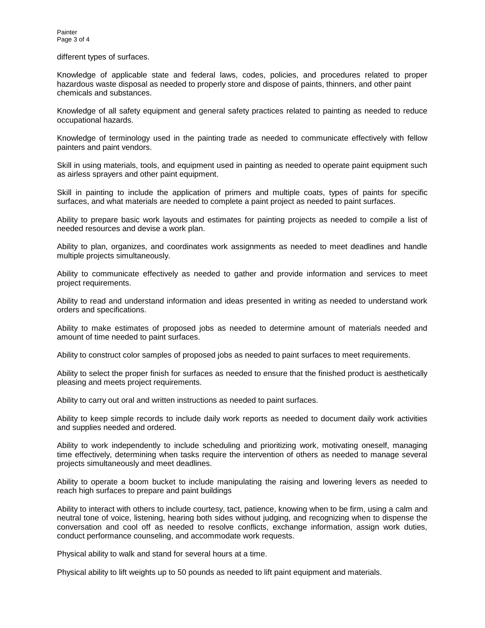different types of surfaces.

Knowledge of applicable state and federal laws, codes, policies, and procedures related to proper hazardous waste disposal as needed to properly store and dispose of paints, thinners, and other paint chemicals and substances.

Knowledge of all safety equipment and general safety practices related to painting as needed to reduce occupational hazards.

Knowledge of terminology used in the painting trade as needed to communicate effectively with fellow painters and paint vendors.

Skill in using materials, tools, and equipment used in painting as needed to operate paint equipment such as airless sprayers and other paint equipment.

Skill in painting to include the application of primers and multiple coats, types of paints for specific surfaces, and what materials are needed to complete a paint project as needed to paint surfaces.

Ability to prepare basic work layouts and estimates for painting projects as needed to compile a list of needed resources and devise a work plan.

Ability to plan, organizes, and coordinates work assignments as needed to meet deadlines and handle multiple projects simultaneously.

Ability to communicate effectively as needed to gather and provide information and services to meet project requirements.

Ability to read and understand information and ideas presented in writing as needed to understand work orders and specifications.

Ability to make estimates of proposed jobs as needed to determine amount of materials needed and amount of time needed to paint surfaces.

Ability to construct color samples of proposed jobs as needed to paint surfaces to meet requirements.

Ability to select the proper finish for surfaces as needed to ensure that the finished product is aesthetically pleasing and meets project requirements.

Ability to carry out oral and written instructions as needed to paint surfaces.

Ability to keep simple records to include daily work reports as needed to document daily work activities and supplies needed and ordered.

Ability to work independently to include scheduling and prioritizing work, motivating oneself, managing time effectively, determining when tasks require the intervention of others as needed to manage several projects simultaneously and meet deadlines.

Ability to operate a boom bucket to include manipulating the raising and lowering levers as needed to reach high surfaces to prepare and paint buildings

Ability to interact with others to include courtesy, tact, patience, knowing when to be firm, using a calm and neutral tone of voice, listening, hearing both sides without judging, and recognizing when to dispense the conversation and cool off as needed to resolve conflicts, exchange information, assign work duties, conduct performance counseling, and accommodate work requests.

Physical ability to walk and stand for several hours at a time.

Physical ability to lift weights up to 50 pounds as needed to lift paint equipment and materials.